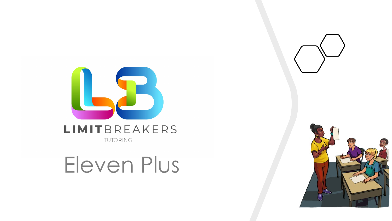

### LIMITBREAKERS TUTORING

Eleven Plus

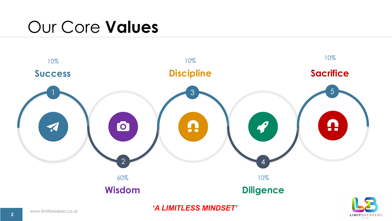## Our Core **Values**



**LIMIT**BREAKERS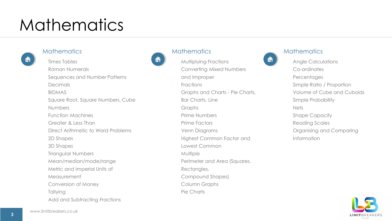## **Mathematics**

## 合

#### **Mathematics**

- Times Tables
- Roman Numerals
- Sequences and Number Patterns
- Decimals
- BIDMAS
- Square Root, Square Numbers, Cube Numbers
- Function Machines
- Greater & Less Than
- Direct Arithmetic to Word Problems
- 2D Shapes
- 3D Shapes
- Triangular Numbers
- Mean/median/mode/range
- Metric and Imperial Units of Measurement
- Conversion of Money
- **Tallying**
- Add and Subtracting Fractions



#### **Mathematics**

- Multiplying Fractions
- Converting Mixed Numbers
- and Improper
- **Fractions**
- Graphs and Charts Pie Charts,
- Bar Charts, Line
- Graphs
- Prime Numbers
- Prime Factors
- Venn Diagrams
- Highest Common Factor and
- Lowest Common
- **Multiple**
- Perimeter and Area (Squares,
	- Rectangles,
- Compound Shapes)
- Column Graphs
- Pie Charts



#### **Mathematics**

- Angle Calculations
- Co-ordinates
- **Percentages**
- Simple Ratio / Proportion
- Volume of Cube and Cuboids
- Simple Probability
- Nets
- **Example Capacity**
- Reading Scales
- Organising and Comparing Information

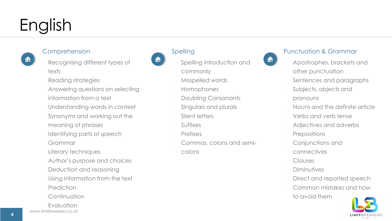# English

### Comprehension

合

- Recognising different types of texts
- Reading strategies
- Answering questions on selecting information from a text
- Understanding words in context
- Synonyms and working out the meaning of phrases
- Identifying parts of speech
- Grammar
- Literary techniques
- Author's purpose and choices
- Deduction and reasoning
- Using information from the text
- **Prediction**
- **Continuation**
- **Evaluation**





### Spelling

- Spelling introduction and commonly
- Misspelled words
- Homophones
- Doubling Consonants
- Singulars and plurals
- Silent letters
- **Suffixes**
- Prefixes
- Commas, colons and semi
	- colons



### Punctuation & Grammar

- Apostrophes, brackets and other punctuation
- Sentences and paragraphs
- Subjects, objects and pronouns
- Nouns and the definite article
- Verbs and verb tense
- Adjectives and adverbs
- **Prepositions**
- Conjunctions and
- connectives
- Clauses
- **Diminutives**
- Direct and reported speech
- Common mistakes and how to avoid them

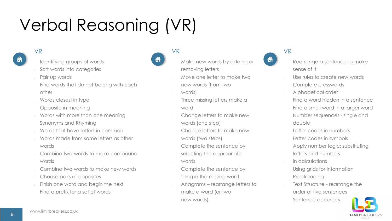# Verbal Reasoning (VR)

#### VR

- Identifying groups of words
- Sort words into categories
- Pair up words
- Find words that do not belong with each other
- Words closest in type
- Opposite in meaning
- Words with more than one meaning
- Synonyms and Rhyming
- Words that have letters in common
- Words made from same letters as other words
- Combine two words to make compound words
- Combine two words to make new words
- Choose pairs of opposites
- Finish one word and begin the next
- Find a prefix for a set of words



- Make new words by adding or
- removing letters
- Move one letter to make two new words (from two
- words)

VR

- Three missing letters make a word
- Change letters to make new words (one step)
- Change letters to make new words (two steps)
- Complete the sentence by selecting the appropriate
- words
- Complete the sentence by filling in the missing word
- Anagrams rearrange letters to make a word (or two
- new words)



### VR

- Rearrange a sentence to make sense of it
- Use rules to create new words
- Complete crosswords
- Alphabetical order
- Find a word hidden in a sentence
- Find a small word in a larger word
- Number sequences single and double
- Letter codes in numbers
- etter codes in symbols
- Apply number logic: substituting letters and numbers
- in calculations
- Using grids for information
- **Proofreading**
- Text Structure rearrange the order of five sentences
- Sentence accuracy